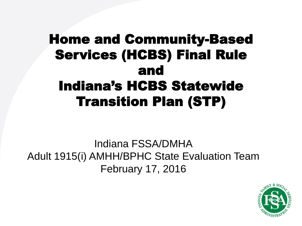#### Home and Community-Based Services (HCBS) Final Rule and Indiana's HCBS Statewide Transition Plan (STP)

Indiana FSSA/DMHA Adult 1915(i) AMHH/BPHC State Evaluation Team February 17, 2016

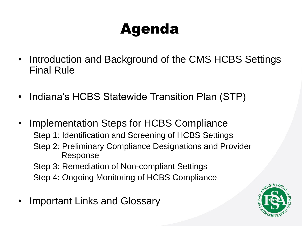## Agenda

- Introduction and Background of the CMS HCBS Settings Final Rule
- Indiana's HCBS Statewide Transition Plan (STP)
- Implementation Steps for HCBS Compliance Step 1: Identification and Screening of HCBS Settings Step 2: Preliminary Compliance Designations and Provider Response Step 3: Remediation of Non-compliant Settings Step 4: Ongoing Monitoring of HCBS Compliance
- Important Links and Glossary

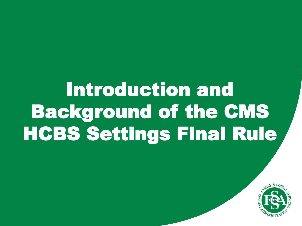# Introduction and Background of the CMS HCBS Settings Final Rule

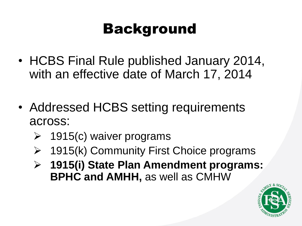## Background

- HCBS Final Rule published January 2014, with an effective date of March 17, 2014
- Addressed HCBS setting requirements across:
	- $\geq$  1915(c) waiver programs
	- 1915(k) Community First Choice programs
	- **1915(i) State Plan Amendment programs: BPHC and AMHH,** as well as CMHW

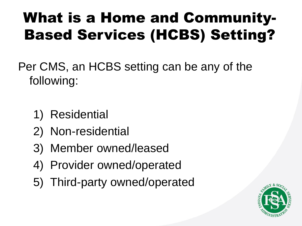## What is a Home and Community-Based Services (HCBS) Setting?

Per CMS, an HCBS setting can be any of the following:

- 1) Residential
- 2) Non-residential
- 3) Member owned/leased
- 4) Provider owned/operated
- 5) Third-party owned/operated

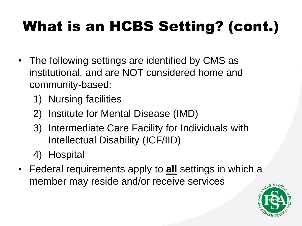## What is an HCBS Setting? (cont.)

- The following settings are identified by CMS as institutional, and are NOT considered home and community-based:
	- 1) Nursing facilities
	- 2) Institute for Mental Disease (IMD)
	- 3) Intermediate Care Facility for Individuals with Intellectual Disability (ICF/IID)
	- 4) Hospital
- Federal requirements apply to **all** settings in which a member may reside and/or receive services

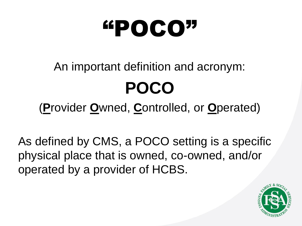# "POCO"

## An important definition and acronym: **POCO**

(**P**rovider **O**wned, **C**ontrolled, or **O**perated)

As defined by CMS, a POCO setting is a specific physical place that is owned, co-owned, and/or operated by a provider of HCBS.

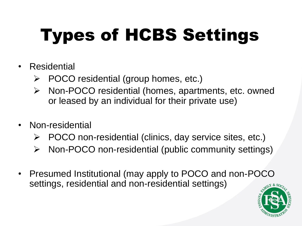# Types of HCBS Settings

- Residential
	- POCO residential (group homes, etc.)
	- Non-POCO residential (homes, apartments, etc. owned or leased by an individual for their private use)
- Non-residential
	- $\triangleright$  POCO non-residential (clinics, day service sites, etc.)
	- Non-POCO non-residential (public community settings)
- Presumed Institutional (may apply to POCO and non-POCO settings, residential and non-residential settings)

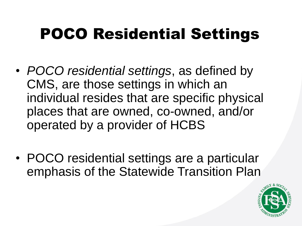## POCO Residential Settings

- *POCO residential settings*, as defined by CMS, are those settings in which an individual resides that are specific physical places that are owned, co-owned, and/or operated by a provider of HCBS
- POCO residential settings are a particular emphasis of the Statewide Transition Plan

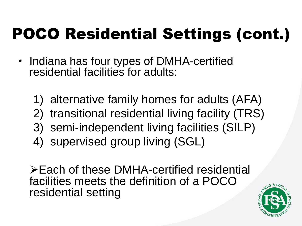## POCO Residential Settings (cont.)

- Indiana has four types of DMHA-certified residential facilities for adults:
	- 1) alternative family homes for adults (AFA)
	- 2) transitional residential living facility (TRS)
	- 3) semi-independent living facilities (SILP)
	- 4) supervised group living (SGL)

Each of these DMHA-certified residential facilities meets the definition of a POCO residential setting

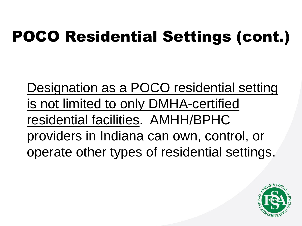## POCO Residential Settings (cont.)

Designation as a POCO residential setting is not limited to only DMHA-certified residential facilities. AMHH/BPHC providers in Indiana can own, control, or operate other types of residential settings.

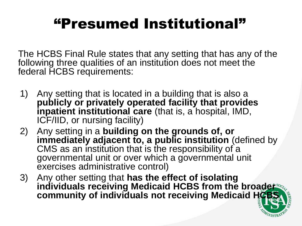### "Presumed Institutional"

The HCBS Final Rule states that any setting that has any of the following three qualities of an institution does not meet the federal HCBS requirements:

- 1) Any setting that is located in a building that is also a **publicly or privately operated facility that provides inpatient institutional care** (that is, a hospital, IMD, ICF/IID, or nursing facility)
- 2) Any setting in a **building on the grounds of, or**  immediately adjacent to, a public institution (defined by CMS as an institution that is the responsibility of a governmental unit or over which a governmental unit exercises administrative control)
- 3) Any other setting that **has the effect of isolating**  individuals receiving Medicaid HCBS from the broader **community of individuals not receiving Medicaid HCB**

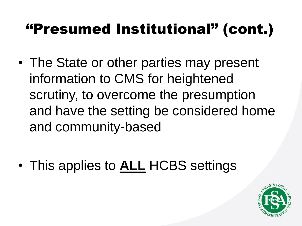### "Presumed Institutional" (cont.)

• The State or other parties may present information to CMS for heightened scrutiny, to overcome the presumption and have the setting be considered home and community-based

• This applies to **ALL** HCBS settings

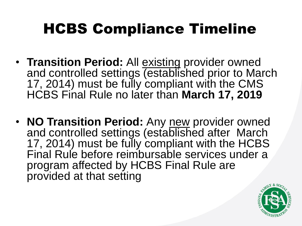## HCBS Compliance Timeline

- **Transition Period:** All existing provider owned and controlled settings (established prior to March 17, 2014) must be fully compliant with the CMS HCBS Final Rule no later than **March 17, 2019**
- **NO Transition Period:** Any new provider owned and controlled settings (established after March 17, 2014) must be fully compliant with the HCBS Final Rule before reimbursable services under a program affected by HCBS Final Rule are provided at that setting

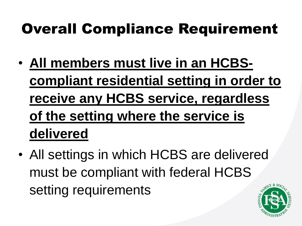### Overall Compliance Requirement

- **All members must live in an HCBScompliant residential setting in order to receive any HCBS service, regardless of the setting where the service is delivered**
- All settings in which HCBS are delivered must be compliant with federal HCBS setting requirements

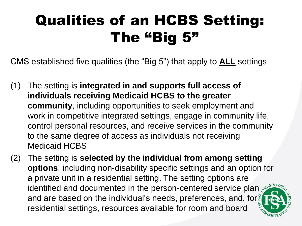## Qualities of an HCBS Setting: The "Big 5"

CMS established five qualities (the "Big 5") that apply to **ALL** settings

- (1) The setting is **integrated in and supports full access of individuals receiving Medicaid HCBS to the greater community**, including opportunities to seek employment and work in competitive integrated settings, engage in community life, control personal resources, and receive services in the community to the same degree of access as individuals not receiving Medicaid HCBS
- (2) The setting is **selected by the individual from among setting options**, including non-disability specific settings and an option for a private unit in a residential setting. The setting options are identified and documented in the person-centered service plan and are based on the individual's needs, preferences, and, fors residential settings, resources available for room and board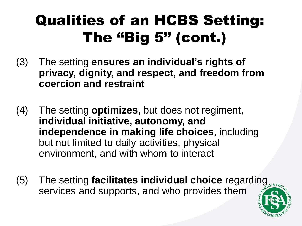## Qualities of an HCBS Setting: The "Big 5" (cont.)

- (3) The setting **ensures an individual's rights of privacy, dignity, and respect, and freedom from coercion and restraint**
- (4) The setting **optimizes**, but does not regiment, **individual initiative, autonomy, and independence in making life choices**, including but not limited to daily activities, physical environment, and with whom to interact
- (5) The setting **facilitates individual choice** regarding services and supports, and who provides them

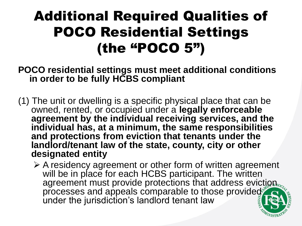#### Additional Required Qualities of POCO Residential Settings (the "POCO 5")

- **POCO residential settings must meet additional conditions in order to be fully HCBS compliant**
- (1) The unit or dwelling is a specific physical place that can be owned, rented, or occupied under a **legally enforceable agreement by the individual receiving services, and the individual has, at a minimum, the same responsibilities and protections from eviction that tenants under the landlord/tenant law of the state, county, city or other designated entity** 
	- $\triangleright$  A residency agreement or other form of written agreement will be in place for each HCBS participant. The written agreement must provide protections that address eviction. processes and appeals comparable to those provided under the jurisdiction's landlord tenant law

WISTR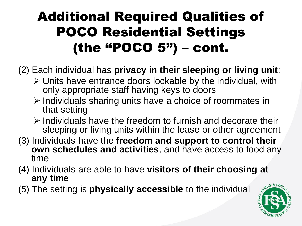#### Additional Required Qualities of POCO Residential Settings (the "POCO  $5"$ ) – cont.

- (2) Each individual has **privacy in their sleeping or living unit**:
	- $\triangleright$  Units have entrance doors lockable by the individual, with only appropriate staff having keys to doors
	- $\triangleright$  Individuals sharing units have a choice of roommates in that setting
	- $\triangleright$  Individuals have the freedom to furnish and decorate their sleeping or living units within the lease or other agreement
- (3) Individuals have the **freedom and support to control their own schedules and activities**, and have access to food any time
- (4) Individuals are able to have **visitors of their choosing at any time**
- (5) The setting is **physically accessible** to the individual

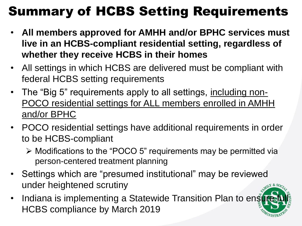#### Summary of HCBS Setting Requirements

- **All members approved for AMHH and/or BPHC services must live in an HCBS-compliant residential setting, regardless of whether they receive HCBS in their homes**
- All settings in which HCBS are delivered must be compliant with federal HCBS setting requirements
- The "Big 5" requirements apply to all settings, including non-POCO residential settings for ALL members enrolled in AMHH and/or BPHC
- POCO residential settings have additional requirements in order to be HCBS-compliant
	- Modifications to the "POCO 5" requirements may be permitted via person-centered treatment planning
- Settings which are "presumed institutional" may be reviewed under heightened scrutiny
- Indiana is implementing a Statewide Transition Plan to enst HCBS compliance by March 2019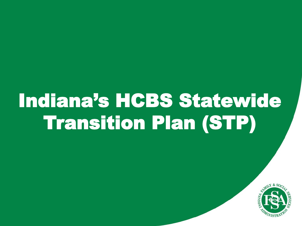# Indiana's HCBS Statewide Transition Plan (STP)

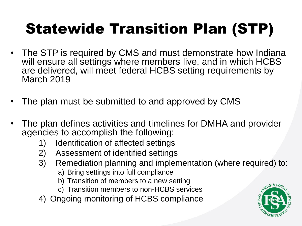## Statewide Transition Plan (STP)

- The STP is required by CMS and must demonstrate how Indiana will ensure all settings where members live, and in which HCBS are delivered, will meet federal HCBS setting requirements by March 2019
- The plan must be submitted to and approved by CMS
- The plan defines activities and timelines for DMHA and provider agencies to accomplish the following:
	- 1) Identification of affected settings
	- 2) Assessment of identified settings
	- 3) Remediation planning and implementation (where required) to:
		- a) Bring settings into full compliance
		- b) Transition of members to a new setting
		- c) Transition members to non-HCBS services
	- 4) Ongoing monitoring of HCBS compliance

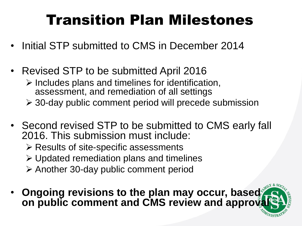### Transition Plan Milestones

- Initial STP submitted to CMS in December 2014
- Revised STP to be submitted April 2016
	- $\triangleright$  Includes plans and timelines for identification, assessment, and remediation of all settings
	- 30-day public comment period will precede submission
- Second revised STP to be submitted to CMS early fall 2016. This submission must include:
	- $\triangleright$  Results of site-specific assessments
	- Updated remediation plans and timelines
	- $\triangleright$  Another 30-day public comment period
- **Ongoing revisions to the plan may occur, based on public comment and CMS review and approvally**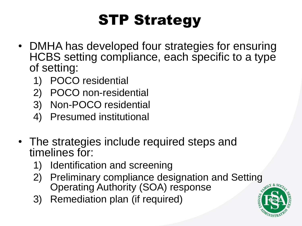## STP Strategy

- DMHA has developed four strategies for ensuring HCBS setting compliance, each specific to a type of setting:
	- 1) POCO residential
	- 2) POCO non-residential
	- 3) Non-POCO residential
	- 4) Presumed institutional
- The strategies include required steps and timelines for:
	- 1) Identification and screening
	- 2) Preliminary compliance designation and Setting Operating Authority (SOA) response
	- 3) Remediation plan (if required)

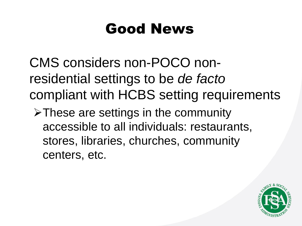### Good News

CMS considers non-POCO nonresidential settings to be *de facto* compliant with HCBS setting requirements

 $\triangleright$  These are settings in the community accessible to all individuals: restaurants, stores, libraries, churches, community centers, etc.

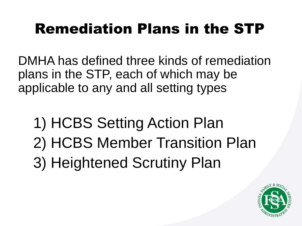## Remediation Plans in the STP

DMHA has defined three kinds of remediation plans in the STP, each of which may be applicable to any and all setting types

1) HCBS Setting Action Plan 2) HCBS Member Transition Plan 3) Heightened Scrutiny Plan

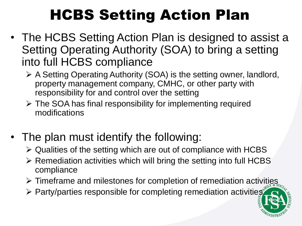## HCBS Setting Action Plan

- The HCBS Setting Action Plan is designed to assist a Setting Operating Authority (SOA) to bring a setting into full HCBS compliance
	- A Setting Operating Authority (SOA) is the setting owner, landlord, property management company, CMHC, or other party with responsibility for and control over the setting
	- $\triangleright$  The SOA has final responsibility for implementing required modifications
- The plan must identify the following:
	- $\triangleright$  Qualities of the setting which are out of compliance with HCBS
	- $\triangleright$  Remediation activities which will bring the setting into full HCBS compliance
	- $\triangleright$  Timeframe and milestones for completion of remediation activities
	- $\triangleright$  Party/parties responsible for completing remediation activities

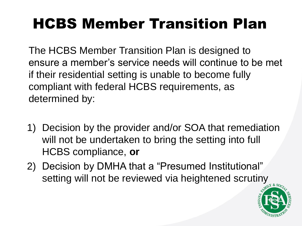## HCBS Member Transition Plan

The HCBS Member Transition Plan is designed to ensure a member's service needs will continue to be met if their residential setting is unable to become fully compliant with federal HCBS requirements, as determined by:

- 1) Decision by the provider and/or SOA that remediation will not be undertaken to bring the setting into full HCBS compliance, **or**
- 2) Decision by DMHA that a "Presumed Institutional" setting will not be reviewed via heightened scrutiny

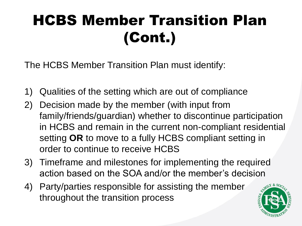## HCBS Member Transition Plan (Cont.)

The HCBS Member Transition Plan must identify:

- 1) Qualities of the setting which are out of compliance
- 2) Decision made by the member (with input from family/friends/guardian) whether to discontinue participation in HCBS and remain in the current non-compliant residential setting **OR** to move to a fully HCBS compliant setting in order to continue to receive HCBS
- 3) Timeframe and milestones for implementing the required action based on the SOA and/or the member's decision
- 4) Party/parties responsible for assisting the member throughout the transition process

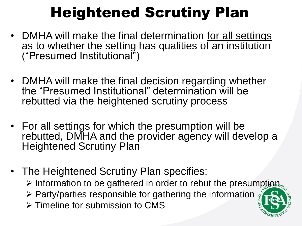## Heightened Scrutiny Plan

- DMHA will make the final determination for all settings as to whether the setting has qualities of an institution ("Presumed Institutional")
- DMHA will make the final decision regarding whether the "Presumed Institutional" determination will be rebutted via the heightened scrutiny process
- For all settings for which the presumption will be rebutted, DMHA and the provider agency will develop a Heightened Scrutiny Plan
- The Heightened Scrutiny Plan specifies:  $\triangleright$  Information to be gathered in order to rebut the presumption,  $\triangleright$  Party/parties responsible for gathering the information  $\frac{1}{2}$  $\triangleright$  Timeline for submission to CMS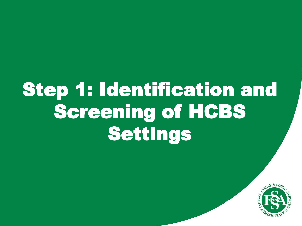# Step 1: Identification and Screening of HCBS Settings

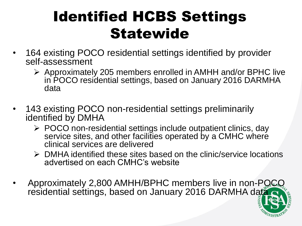## Identified HCBS Settings **Statewide**

- 164 existing POCO residential settings identified by provider self-assessment
	- $\triangleright$  Approximately 205 members enrolled in AMHH and/or BPHC live in POCO residential settings, based on January 2016 DARMHA data
- 143 existing POCO non-residential settings preliminarily identified by DMHA
	- $\triangleright$  POCO non-residential settings include outpatient clinics, day service sites, and other facilities operated by a CMHC where clinical services are delivered
	- $\triangleright$  DMHA identified these sites based on the clinic/service locations advertised on each CMHC's website
- Approximately 2,800 AMHH/BPHC members live in non-POCO residential settings, based on January 2016 DARMHA data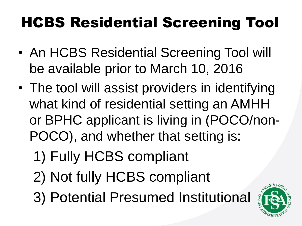## HCBS Residential Screening Tool

- An HCBS Residential Screening Tool will be available prior to March 10, 2016
- The tool will assist providers in identifying what kind of residential setting an AMHH or BPHC applicant is living in (POCO/non-POCO), and whether that setting is:
	- 1) Fully HCBS compliant
	- 2) Not fully HCBS compliant
	- 3) Potential Presumed Institutional

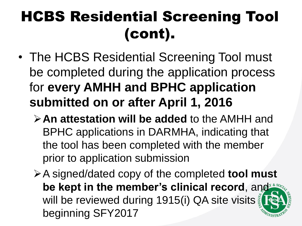## HCBS Residential Screening Tool (cont).

- The HCBS Residential Screening Tool must be completed during the application process for **every AMHH and BPHC application submitted on or after April 1, 2016**
	- **An attestation will be added** to the AMHH and BPHC applications in DARMHA, indicating that the tool has been completed with the member prior to application submission
	- A signed/dated copy of the completed **tool must be kept in the member's clinical record, and the pay of the member's clinical record, and the second** will be reviewed during 1915(i) QA site visits beginning SFY2017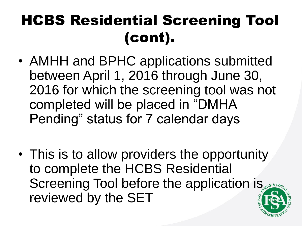## HCBS Residential Screening Tool (cont).

- AMHH and BPHC applications submitted between April 1, 2016 through June 30, 2016 for which the screening tool was not completed will be placed in "DMHA Pending" status for 7 calendar days
- This is to allow providers the opportunity to complete the HCBS Residential Screening Tool before the application is reviewed by the SET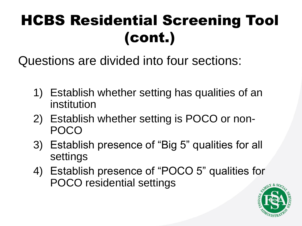## HCBS Residential Screening Tool (cont.)

Questions are divided into four sections:

- 1) Establish whether setting has qualities of an institution
- 2) Establish whether setting is POCO or non-POCO
- 3) Establish presence of "Big 5" qualities for all settings
- 4) Establish presence of "POCO 5" qualities for POCO residential settings

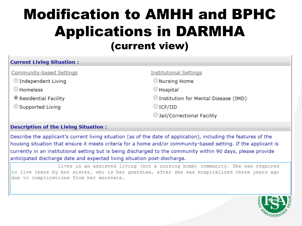## Modification to AMHH and BPHC Applications in DARMHA (current view)

| <b>Current Living Situation:</b> |                                      |
|----------------------------------|--------------------------------------|
| Community-based Settings         | <b>Institutional Settings</b>        |
| $\bigcirc$ Independent Living    | Nursing Home                         |
| $\bigcirc$ Homeless              | $\Box$ Hospital                      |
| Residential Facility             | Institution for Mental Disease (IMD) |
| Supported Living                 | $\bigcirc$ ICF/IID                   |
|                                  | Jail/Correctional Facility           |

#### **Description of the Living Situation:**

Describe the applicant's current living situation (as of the date of application), including the features of the housing situation that ensure it meets criteria for a home and/or community-based setting. If the applicant is currently in an institutional setting but is being discharged to the community within 90 days, please provide anticipated discharge date and expected living situation post-discharge.

lives in an assisted living (not a nursing home) community. She was required to live there by her sister, who is her quardian, after she was hospitalized three years ago due to complications from her anorexia.

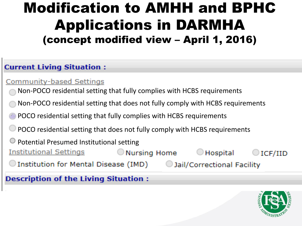## Modification to AMHH and BPHC Applications in DARMHA (concept modified view – April 1, 2016)

#### **Current Living Situation:**

#### **Community-based Settings**

- Non-POCO residential setting that fully complies with HCBS requirements
- Non-POCO residential setting that does not fully comply with HCBS requirements
- POCO residential setting that fully complies with HCBS requirements
- POCO residential setting that does not fully comply with HCBS requirements
- $\bullet$  Potential Presumed Institutional setting
- <u> Institutional Settings</u>  $\bigcirc$  Nursing Home  $\bigcirc$  Hospital ICF/IID
	- $\bigcirc$  Institution for Mental Disease (IMD)  $\hspace{0.05in}$

**Description of the Living Situation:** 



Jail/Correctional Facility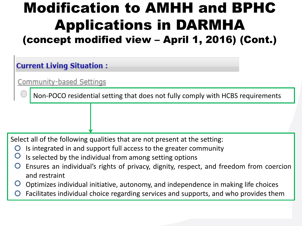## Modification to AMHH and BPHC Applications in DARMHA (concept modified view – April 1, 2016) (Cont.)

#### **Current Living Situation:**

Community-based Settings

Non-POCO residential setting that does not fully comply with HCBS requirements

Select all of the following qualities that are not present at the setting:

- Is integrated in and support full access to the greater community
- Is selected by the individual from among setting options
- Ensures an individual's rights of privacy, dignity, respect, and freedom from coercion and restraint
- Optimizes individual initiative, autonomy, and independence in making life choices
- Facilitates individual choice regarding services and supports, and who provides them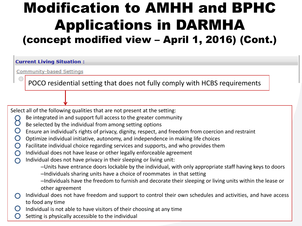## Modification to AMHH and BPHC Applications in DARMHA (concept modified view – April 1, 2016) (Cont.)

#### **Current Living Situation:**

**Community-based Settings** 

POCO residential setting that does not fully comply with HCBS requirements

Select all of the following qualities that are not present at the setting:

- Be integrated in and support full access to the greater community
- Č Be selected by the individual from among setting options
- Ensure an individual's rights of privacy, dignity, respect, and freedom from coercion and restraint
- $\bigcirc$ Optimize individual initiative, autonomy, and independence in making life choices
- Facilitate individual choice regarding services and supports, and who provides them  $\bigcirc$
- Individual does not have lease or other legally enforceable agreement  $\bigcirc$
- Individual does not have privacy in their sleeping or living unit:  $\bigcap$ 
	- –Units have entrance doors lockable by the individual, with only appropriate staff having keys to doors
	- –Individuals sharing units have a choice of roommates in that setting
	- –Individuals have the freedom to furnish and decorate their sleeping or living units within the lease or other agreement
- Individual does not have freedom and support to control their own schedules and activities, and have access to food any time
- Individual is not able to have visitors of their choosing at any time
- Setting is physically accessible to the individual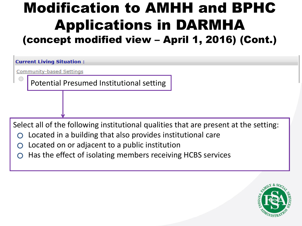## Modification to AMHH and BPHC Applications in DARMHA (concept modified view – April 1, 2016) (Cont.)

**Current Living Situation:** 

**Community-based Settings** 

Potential Presumed Institutional setting

Select all of the following institutional qualities that are present at the setting:

- Located in a building that also provides institutional care
- Located on or adjacent to a public institution
- Has the effect of isolating members receiving HCBS services

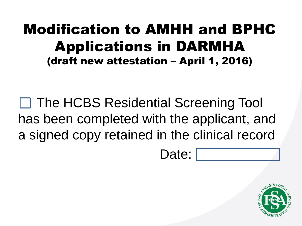## Modification to AMHH and BPHC Applications in DARMHA (draft new attestation – April 1, 2016)

□ The HCBS Residential Screening Tool has been completed with the applicant, and a signed copy retained in the clinical record

Date:

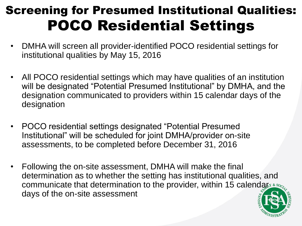## Screening for Presumed Institutional Qualities: POCO Residential Settings

- DMHA will screen all provider-identified POCO residential settings for institutional qualities by May 15, 2016
- All POCO residential settings which may have qualities of an institution will be designated "Potential Presumed Institutional" by DMHA, and the designation communicated to providers within 15 calendar days of the designation
- POCO residential settings designated "Potential Presumed Institutional" will be scheduled for joint DMHA/provider on-site assessments, to be completed before December 31, 2016
- Following the on-site assessment, DMHA will make the final determination as to whether the setting has institutional qualities, and communicate that determination to the provider, within 15 calenda $\kappa_1 \ast s_{0c}$ days of the on-site assessment

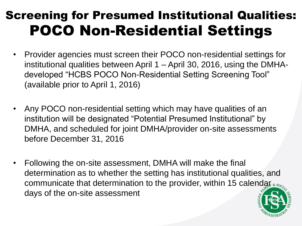## Screening for Presumed Institutional Qualities: POCO Non-Residential Settings

- Provider agencies must screen their POCO non-residential settings for institutional qualities between April 1 – April 30, 2016, using the DMHAdeveloped "HCBS POCO Non-Residential Setting Screening Tool" (available prior to April 1, 2016)
- Any POCO non-residential setting which may have qualities of an institution will be designated "Potential Presumed Institutional" by DMHA, and scheduled for joint DMHA/provider on-site assessments before December 31, 2016
- Following the on-site assessment, DMHA will make the final determination as to whether the setting has institutional qualities, and communicate that determination to the provider, within 15 calendar  $\epsilon_{\text{so}_c}$ days of the on-site assessment

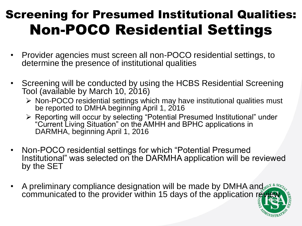## Screening for Presumed Institutional Qualities: Non-POCO Residential Settings

- Provider agencies must screen all non-POCO residential settings, to determine the presence of institutional qualities
- Screening will be conducted by using the HCBS Residential Screening Tool (available by March 10, 2016)
	- Non-POCO residential settings which may have institutional qualities must be reported to DMHA beginning April 1, 2016
	- Reporting will occur by selecting "Potential Presumed Institutional" under "Current Living Situation" on the AMHH and BPHC applications in DARMHA, beginning April 1, 2016
- Non-POCO residential settings for which "Potential Presumed Institutional" was selected on the DARMHA application will be reviewed by the SET
- A preliminary compliance designation will be made by DMHA and the set communicated to the provider within 15 days of the application review

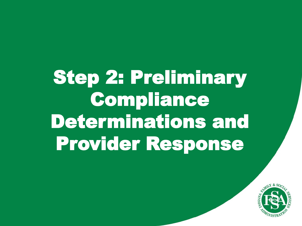# Step 2: Preliminary Compliance Determinations and Provider Response

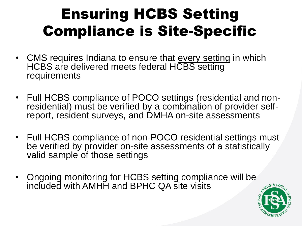## Ensuring HCBS Setting Compliance is Site-Specific

- CMS requires Indiana to ensure that every setting in which HCBS are delivered meets federal HCBS setting requirements
- Full HCBS compliance of POCO settings (residential and nonresidential) must be verified by a combination of provider selfreport, resident surveys, and DMHA on-site assessments
- Full HCBS compliance of non-POCO residential settings must be verified by provider on-site assessments of a statistically valid sample of those settings
- Ongoing monitoring for HCBS setting compliance will be included with AMHH and BPHC QA site visits

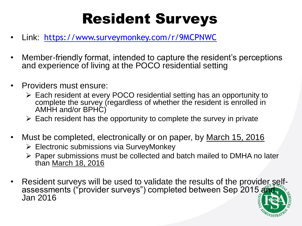## Resident Surveys

- Link: <https://www.surveymonkey.com/r/9MCPNWC>
- Member-friendly format, intended to capture the resident's perceptions and experience of living at the POCO residential setting
- Providers must ensure:
	- Each resident at every POCO residential setting has an opportunity to complete the survey (regardless of whether the resident is enrolled in AMHH and/or BPHC)
	- $\triangleright$  Each resident has the opportunity to complete the survey in private
- Must be completed, electronically or on paper, by March 15, 2016
	- $\triangleright$  Electronic submissions via SurveyMonkey
	- $\triangleright$  Paper submissions must be collected and batch mailed to DMHA no later than March 18, 2016
- Resident surveys will be used to validate the results of the provider selfassessments ("provider surveys") completed between Sep 2015 and Jan 2016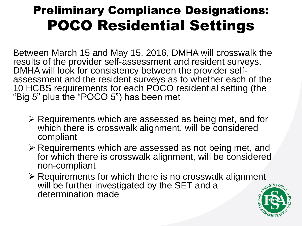## Preliminary Compliance Designations: POCO Residential Settings

Between March 15 and May 15, 2016, DMHA will crosswalk the results of the provider self-assessment and resident surveys. DMHA will look for consistency between the provider selfassessment and the resident surveys as to whether each of the 10 HCBS requirements for each PÓCO residential setting (the "Big 5" plus the "POCO 5") has been met

- $\triangleright$  Requirements which are assessed as being met, and for which there is crosswalk alignment, will be considered compliant
- $\triangleright$  Requirements which are assessed as not being met, and for which there is crosswalk alignment, will be considered non-compliant
- $\triangleright$  Requirements for which there is no crosswalk alignment will be further investigated by the SET and a determination made

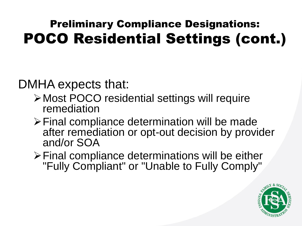## Preliminary Compliance Designations: POCO Residential Settings (cont.)

DMHA expects that:

- Most POCO residential settings will require remediation
- Final compliance determination will be made after remediation or opt-out decision by provider and/or SOA
- Final compliance determinations will be either "Fully Compliant" or "Unable to Fully Comply"

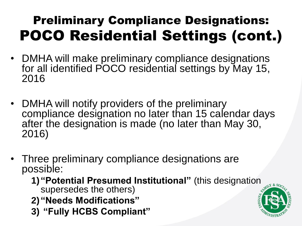## Preliminary Compliance Designations: POCO Residential Settings (cont.)

- DMHA will make preliminary compliance designations for all identified POCO residential settings by May 15, 2016
- DMHA will notify providers of the preliminary compliance designation no later than 15 calendar days after the designation is made (no later than May 30, 2016)
- Three preliminary compliance designations are possible:
	- **1) "Potential Presumed Institutional"** (this designation supersedes the others)
	- **2) "Needs Modifications"**
	- **3) "Fully HCBS Compliant"**

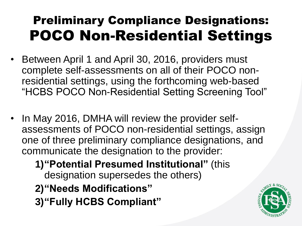## Preliminary Compliance Designations: POCO Non-Residential Settings

- Between April 1 and April 30, 2016, providers must complete self-assessments on all of their POCO nonresidential settings, using the forthcoming web-based "HCBS POCO Non-Residential Setting Screening Tool"
- In May 2016, DMHA will review the provider selfassessments of POCO non-residential settings, assign one of three preliminary compliance designations, and communicate the designation to the provider:

**1)"Potential Presumed Institutional"** (this designation supersedes the others) **2)"Needs Modifications" 3)"Fully HCBS Compliant"**

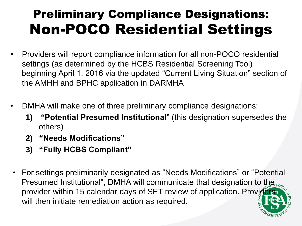## Preliminary Compliance Designations: Non-POCO Residential Settings

- Providers will report compliance information for all non-POCO residential settings (as determined by the HCBS Residential Screening Tool) beginning April 1, 2016 via the updated "Current Living Situation" section of the AMHH and BPHC application in DARMHA
- DMHA will make one of three preliminary compliance designations:
	- **1) "Potential Presumed Institutional**" (this designation supersedes the others)
	- **2) "Needs Modifications"**
	- **3) "Fully HCBS Compliant"**
- For settings preliminarily designated as "Needs Modifications" or "Potential Presumed Institutional", DMHA will communicate that designation to the soprovider within 15 calendar days of SET review of application. Providers will then initiate remediation action as required.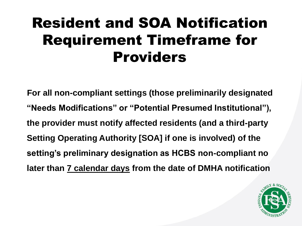## Resident and SOA Notification Requirement Timeframe for Providers

**For all non-compliant settings (those preliminarily designated "Needs Modifications" or "Potential Presumed Institutional"), the provider must notify affected residents (and a third-party Setting Operating Authority [SOA] if one is involved) of the setting's preliminary designation as HCBS non-compliant no later than 7 calendar days from the date of DMHA notification**

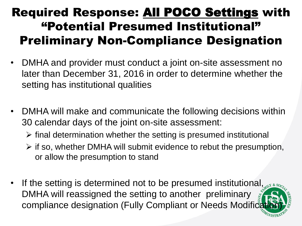#### Required Response: All POCO Settings with "Potential Presumed Institutional" Preliminary Non-Compliance Designation

- DMHA and provider must conduct a joint on-site assessment no later than December 31, 2016 in order to determine whether the setting has institutional qualities
- DMHA will make and communicate the following decisions within 30 calendar days of the joint on-site assessment:
	- $\triangleright$  final determination whether the setting is presumed institutional
	- $\triangleright$  if so, whether DMHA will submit evidence to rebut the presumption, or allow the presumption to stand
- If the setting is determined not to be presumed institutional,  $\mathbb{R}^{N}$  & so DMHA will reassigned the setting to another preliminary compliance designation (Fully Compliant or Needs Modifice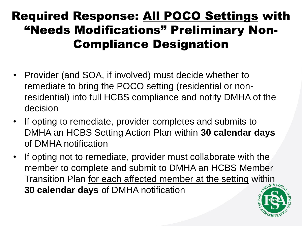### Required Response: All POCO Settings with "Needs Modifications" Preliminary Non-Compliance Designation

- Provider (and SOA, if involved) must decide whether to remediate to bring the POCO setting (residential or nonresidential) into full HCBS compliance and notify DMHA of the decision
- If opting to remediate, provider completes and submits to DMHA an HCBS Setting Action Plan within **30 calendar days**  of DMHA notification
- If opting not to remediate, provider must collaborate with the member to complete and submit to DMHA an HCBS Member Transition Plan for each affected member at the setting within **30 calendar days** of DMHA notification

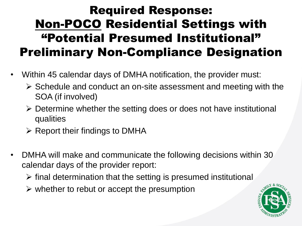### Required Response: Non-POCO Residential Settings with "Potential Presumed Institutional" Preliminary Non-Compliance Designation

- Within 45 calendar days of DMHA notification, the provider must:
	- $\triangleright$  Schedule and conduct an on-site assessment and meeting with the SOA (if involved)
	- $\triangleright$  Determine whether the setting does or does not have institutional qualities
	- $\triangleright$  Report their findings to DMHA
- DMHA will make and communicate the following decisions within 30 calendar days of the provider report:
	- $\triangleright$  final determination that the setting is presumed institutional
	- $\triangleright$  whether to rebut or accept the presumption

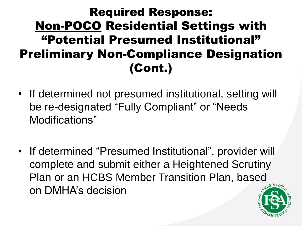### Required Response: Non-POCO Residential Settings with "Potential Presumed Institutional" Preliminary Non-Compliance Designation (Cont.)

- If determined not presumed institutional, setting will be re-designated "Fully Compliant" or "Needs Modifications"
- If determined "Presumed Institutional", provider will complete and submit either a Heightened Scrutiny Plan or an HCBS Member Transition Plan, based on DMHA's decision

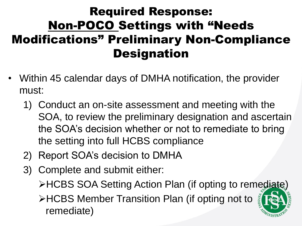### Required Response: Non-POCO Settings with "Needs Modifications" Preliminary Non-Compliance **Designation**

- Within 45 calendar days of DMHA notification, the provider must:
	- 1) Conduct an on-site assessment and meeting with the SOA, to review the preliminary designation and ascertain the SOA's decision whether or not to remediate to bring the setting into full HCBS compliance
	- 2) Report SOA's decision to DMHA
	- 3) Complete and submit either:
		- HCBS SOA Setting Action Plan (if opting to remediate)
		- **EXTERE MEMBER Transition Plan (if opting not to set of all originally** remediate)

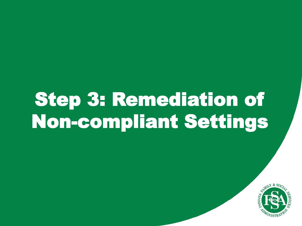# Step 3: Remediation of Non-compliant Settings

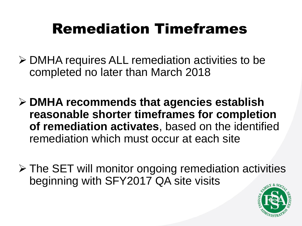## Remediation Timeframes

- DMHA requires ALL remediation activities to be completed no later than March 2018
- **DMHA recommends that agencies establish reasonable shorter timeframes for completion of remediation activates**, based on the identified remediation which must occur at each site
- $\triangleright$  The SET will monitor ongoing remediation activities beginning with SFY2017 QA site visits

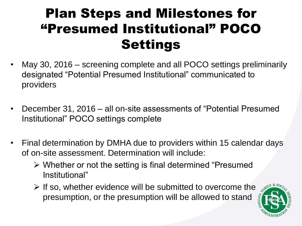## Plan Steps and Milestones for "Presumed Institutional" POCO **Settings**

- May 30, 2016 screening complete and all POCO settings preliminarily designated "Potential Presumed Institutional" communicated to providers
- December 31, 2016 all on-site assessments of "Potential Presumed Institutional" POCO settings complete
- Final determination by DMHA due to providers within 15 calendar days of on-site assessment. Determination will include:
	- Whether or not the setting is final determined "Presumed Institutional"
	- $\triangleright$  If so, whether evidence will be submitted to overcome the presumption, or the presumption will be allowed to stand

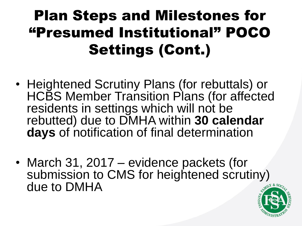## Plan Steps and Milestones for "Presumed Institutional" POCO Settings (Cont.)

- Heightened Scrutiny Plans (for rebuttals) or HCBS Member Transition Plans (for affected residents in settings which will not be rebutted) due to DMHA within **30 calendar days** of notification of final determination
- March 31, 2017 evidence packets (for submission to CMS for heightened scrutiny) due to DMHA

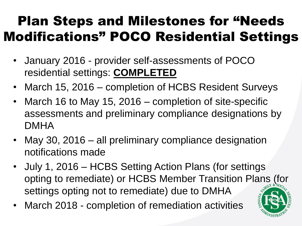## Plan Steps and Milestones for "Needs Modifications" POCO Residential Settings

- January 2016 provider self-assessments of POCO residential settings: **COMPLETED**
- March 15, 2016 completion of HCBS Resident Surveys
- March 16 to May 15, 2016 completion of site-specific assessments and preliminary compliance designations by DMHA
- May 30, 2016 all preliminary compliance designation notifications made
- July 1, 2016 HCBS Setting Action Plans (for settings opting to remediate) or HCBS Member Transition Plans (for settings opting not to remediate) due to DMHA
- March 2018 completion of remediation activities

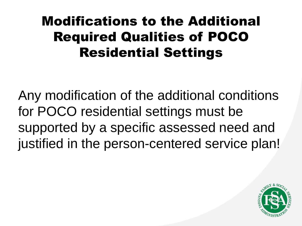## Modifications to the Additional Required Qualities of POCO Residential Settings

Any modification of the additional conditions for POCO residential settings must be supported by a specific assessed need and justified in the person-centered service plan!

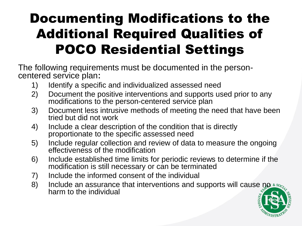## Documenting Modifications to the Additional Required Qualities of POCO Residential Settings

The following requirements must be documented in the personcentered service plan:

- 1) Identify a specific and individualized assessed need
- 2) Document the positive interventions and supports used prior to any modifications to the person-centered service plan
- 3) Document less intrusive methods of meeting the need that have been tried but did not work
- 4) Include a clear description of the condition that is directly proportionate to the specific assessed need
- 5) Include regular collection and review of data to measure the ongoing effectiveness of the modification
- 6) Include established time limits for periodic reviews to determine if the modification is still necessary or can be terminated
- 7) Include the informed consent of the individual
- 8) Include an assurance that interventions and supports will cause no  $\epsilon$  so, harm to the individual

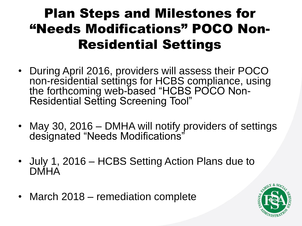## Plan Steps and Milestones for "Needs Modifications" POCO Non-Residential Settings

- During April 2016, providers will assess their POCO non-residential settings for HCBS compliance, using the forthcoming web-based "HCBS POCO Non-Residential Setting Screening Tool"
- May 30, 2016 DMHA will notify providers of settings designated "Needs Modifications"
- July 1, 2016 HCBS Setting Action Plans due to **DMHA**
- March 2018 remediation complete

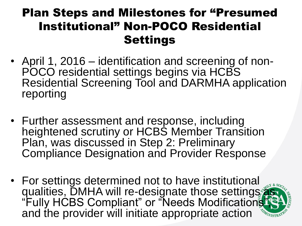#### Plan Steps and Milestones for "Presumed Institutional" Non-POCO Residential **Settings**

- April 1, 2016 identification and screening of non-POCO residential settings begins via HCBS Residential Screening Tool and DARMHA application reporting
- Further assessment and response, including heightened scrutiny or HCBS Member Transition Plan, was discussed in Step 2: Preliminary Compliance Designation and Provider Response
- For settings determined not to have institutional qualities, DMHA will re-designate those settings as "Fully HCBS Compliant" or "Needs Modifications" and the provider will initiate appropriate action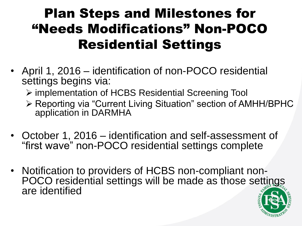## Plan Steps and Milestones for "Needs Modifications" Non-POCO Residential Settings

- April 1, 2016 identification of non-POCO residential settings begins via:
	- implementation of HCBS Residential Screening Tool
	- Reporting via "Current Living Situation" section of AMHH/BPHC application in DARMHA
- October 1, 2016 identification and self-assessment of "first wave" non-POCO residential settings complete
- Notification to providers of HCBS non-compliant non-POCO residential settings will be made as those settings are identified

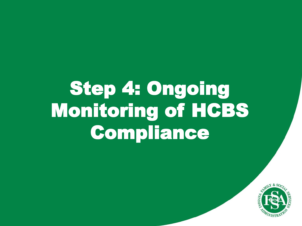# Step 4: Ongoing Monitoring of HCBS Compliance

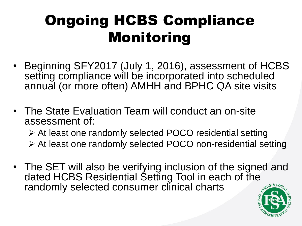## Ongoing HCBS Compliance Monitoring

- Beginning SFY2017 (July 1, 2016), assessment of HCBS setting compliance will be incorporated into scheduled annual (or more often) AMHH and BPHC QA site visits
- The State Evaluation Team will conduct an on-site assessment of:

 At least one randomly selected POCO residential setting At least one randomly selected POCO non-residential setting

• The SET will also be verifying inclusion of the signed and dated HCBS Residential Setting Tool in each of the randomly selected consumer clinical charts

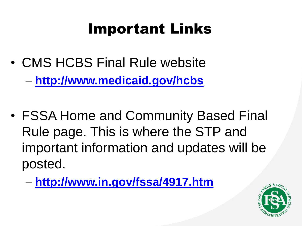## Important Links

- CMS HCBS Final Rule website – **<http://www.medicaid.gov/hcbs>**
- FSSA Home and Community Based Final Rule page. This is where the STP and important information and updates will be posted.
	- **<http://www.in.gov/fssa/4917.htm>**